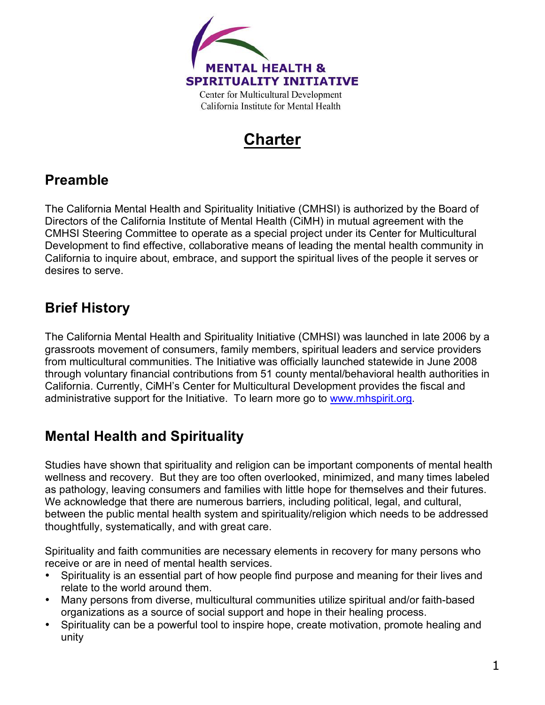

# **Charter**

# **Preamble**

The California Mental Health and Spirituality Initiative (CMHSI) is authorized by the Board of Directors of the California Institute of Mental Health (CiMH) in mutual agreement with the CMHSI Steering Committee to operate as a special project under its Center for Multicultural Development to find effective, collaborative means of leading the mental health community in California to inquire about, embrace, and support the spiritual lives of the people it serves or desires to serve.

# **Brief History**

The California Mental Health and Spirituality Initiative (CMHSI) was launched in late 2006 by a grassroots movement of consumers, family members, spiritual leaders and service providers from multicultural communities. The Initiative was officially launched statewide in June 2008 through voluntary financial contributions from 51 county mental/behavioral health authorities in California. Currently, CiMH's Center for Multicultural Development provides the fiscal and administrative support for the Initiative. To learn more go to www.mhspirit.org.

### **Mental Health and Spirituality**

Studies have shown that spirituality and religion can be important components of mental health wellness and recovery. But they are too often overlooked, minimized, and many times labeled as pathology, leaving consumers and families with little hope for themselves and their futures. We acknowledge that there are numerous barriers, including political, legal, and cultural, between the public mental health system and spirituality/religion which needs to be addressed thoughtfully, systematically, and with great care.

Spirituality and faith communities are necessary elements in recovery for many persons who receive or are in need of mental health services.

- Spirituality is an essential part of how people find purpose and meaning for their lives and relate to the world around them.
- Many persons from diverse, multicultural communities utilize spiritual and/or faith-based organizations as a source of social support and hope in their healing process.
- Spirituality can be a powerful tool to inspire hope, create motivation, promote healing and unity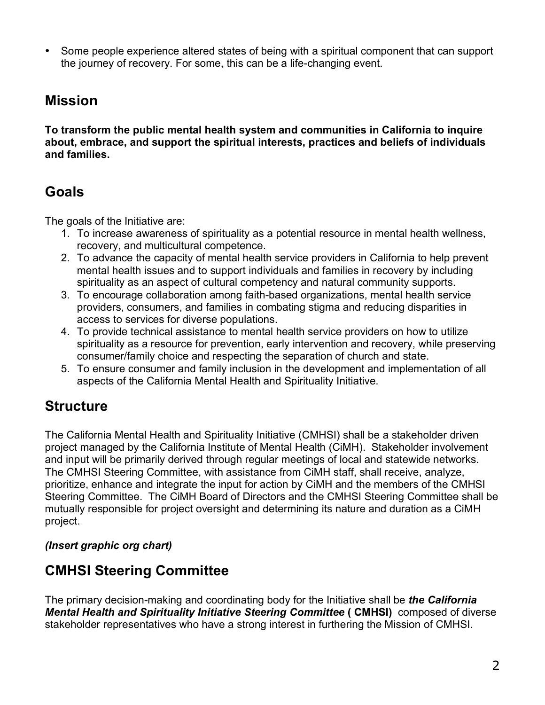• Some people experience altered states of being with a spiritual component that can support the journey of recovery. For some, this can be a life-changing event.

### **Mission**

**To transform the public mental health system and communities in California to inquire about, embrace, and support the spiritual interests, practices and beliefs of individuals and families.**

# **Goals**

The goals of the Initiative are:

- 1. To increase awareness of spirituality as a potential resource in mental health wellness, recovery, and multicultural competence.
- 2. To advance the capacity of mental health service providers in California to help prevent mental health issues and to support individuals and families in recovery by including spirituality as an aspect of cultural competency and natural community supports.
- 3. To encourage collaboration among faith-based organizations, mental health service providers, consumers, and families in combating stigma and reducing disparities in access to services for diverse populations.
- 4. To provide technical assistance to mental health service providers on how to utilize spirituality as a resource for prevention, early intervention and recovery, while preserving consumer/family choice and respecting the separation of church and state.
- 5. To ensure consumer and family inclusion in the development and implementation of all aspects of the California Mental Health and Spirituality Initiative.

# **Structure**

The California Mental Health and Spirituality Initiative (CMHSI) shall be a stakeholder driven project managed by the California Institute of Mental Health (CiMH). Stakeholder involvement and input will be primarily derived through regular meetings of local and statewide networks. The CMHSI Steering Committee, with assistance from CiMH staff, shall receive, analyze, prioritize, enhance and integrate the input for action by CiMH and the members of the CMHSI Steering Committee. The CiMH Board of Directors and the CMHSI Steering Committee shall be mutually responsible for project oversight and determining its nature and duration as a CiMH project.

### *(Insert graphic org chart)*

# **CMHSI Steering Committee**

The primary decision-making and coordinating body for the Initiative shall be *the California Mental Health and Spirituality Initiative Steering Committee* **( CMHSI)** composed of diverse stakeholder representatives who have a strong interest in furthering the Mission of CMHSI.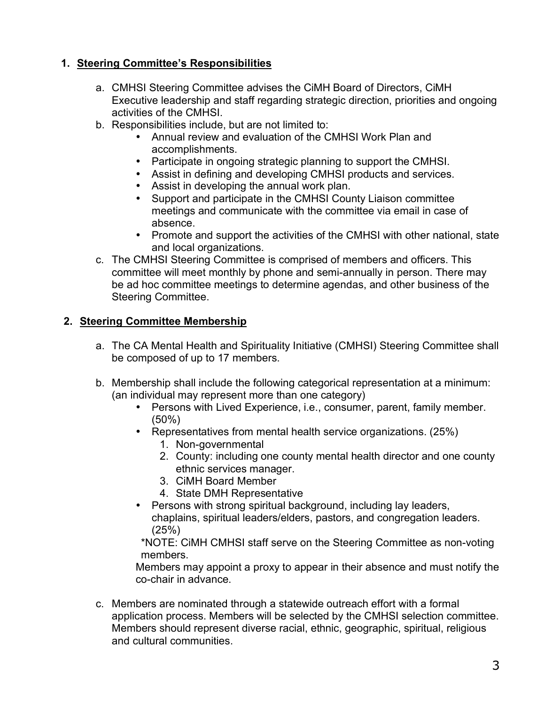#### **1. Steering Committee's Responsibilities**

- a. CMHSI Steering Committee advises the CiMH Board of Directors, CiMH Executive leadership and staff regarding strategic direction, priorities and ongoing activities of the CMHSI.
- b. Responsibilities include, but are not limited to:
	- Annual review and evaluation of the CMHSI Work Plan and accomplishments.
	- Participate in ongoing strategic planning to support the CMHSI.
	- Assist in defining and developing CMHSI products and services.
	- Assist in developing the annual work plan.
	- Support and participate in the CMHSI County Liaison committee meetings and communicate with the committee via email in case of absence.
	- Promote and support the activities of the CMHSI with other national, state and local organizations.
- c. The CMHSI Steering Committee is comprised of members and officers. This committee will meet monthly by phone and semi-annually in person. There may be ad hoc committee meetings to determine agendas, and other business of the Steering Committee.

#### **2. Steering Committee Membership**

- a. The CA Mental Health and Spirituality Initiative (CMHSI) Steering Committee shall be composed of up to 17 members.
- b. Membership shall include the following categorical representation at a minimum: (an individual may represent more than one category)
	- Persons with Lived Experience, i.e., consumer, parent, family member. (50%)
	- Representatives from mental health service organizations. (25%)
		- 1. Non-governmental
		- 2. County: including one county mental health director and one county ethnic services manager.
		- 3. CiMH Board Member
		- 4. State DMH Representative
	- Persons with strong spiritual background, including lay leaders, chaplains, spiritual leaders/elders, pastors, and congregation leaders. (25%)

\*NOTE: CiMH CMHSI staff serve on the Steering Committee as non-voting members.

Members may appoint a proxy to appear in their absence and must notify the co-chair in advance.

c. Members are nominated through a statewide outreach effort with a formal application process. Members will be selected by the CMHSI selection committee. Members should represent diverse racial, ethnic, geographic, spiritual, religious and cultural communities.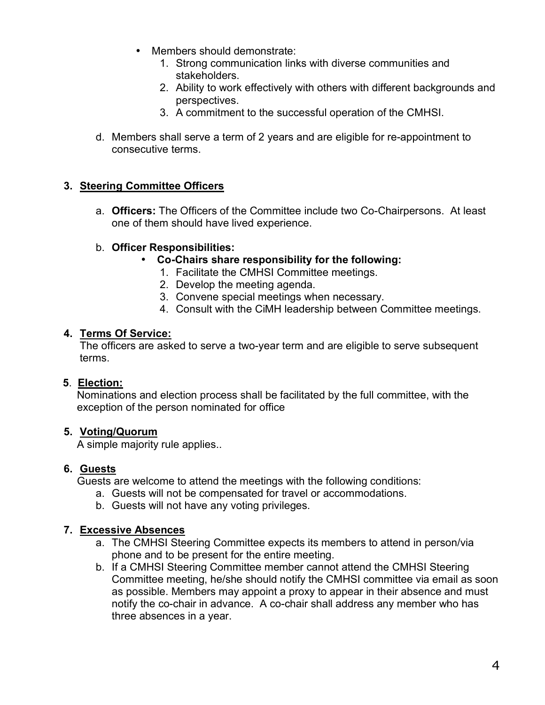- Members should demonstrate:
	- 1. Strong communication links with diverse communities and stakeholders.
	- 2. Ability to work effectively with others with different backgrounds and perspectives.
	- 3. A commitment to the successful operation of the CMHSI.
- d. Members shall serve a term of 2 years and are eligible for re-appointment to consecutive terms.

#### **3. Steering Committee Officers**

a. **Officers:** The Officers of the Committee include two Co-Chairpersons. At least one of them should have lived experience.

#### b. **Officer Responsibilities:**

- **Co-Chairs share responsibility for the following:** 
	- 1. Facilitate the CMHSI Committee meetings.
	- 2. Develop the meeting agenda.
	- 3. Convene special meetings when necessary.
	- 4. Consult with the CiMH leadership between Committee meetings.

#### **4. Terms Of Service:**

The officers are asked to serve a two-year term and are eligible to serve subsequent terms.

#### **5**. **Election:**

Nominations and election process shall be facilitated by the full committee, with the exception of the person nominated for office

#### **5. Voting/Quorum**

A simple majority rule applies..

#### **6. Guests**

Guests are welcome to attend the meetings with the following conditions:

- a. Guests will not be compensated for travel or accommodations.
- b. Guests will not have any voting privileges.

#### **7. Excessive Absences**

- a. The CMHSI Steering Committee expects its members to attend in person/via phone and to be present for the entire meeting.
- b. If a CMHSI Steering Committee member cannot attend the CMHSI Steering Committee meeting, he/she should notify the CMHSI committee via email as soon as possible. Members may appoint a proxy to appear in their absence and must notify the co-chair in advance. A co-chair shall address any member who has three absences in a year.